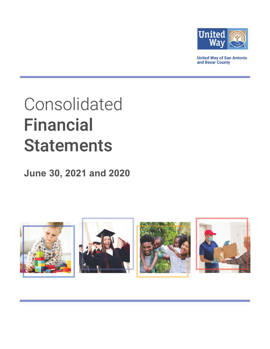

**United Way of San Antonio** and Bexar County

# Consolidated **Financial Statements**

# June 30, 2021 and 2020

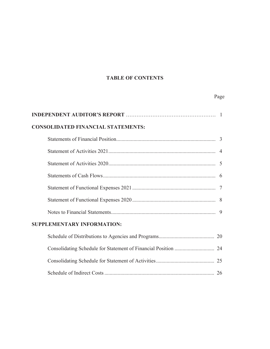# **TABLE OF CONTENTS**

Page

| <b>CONSOLIDATED FINANCIAL STATEMENTS:</b> |  |
|-------------------------------------------|--|
|                                           |  |
|                                           |  |
|                                           |  |
|                                           |  |
|                                           |  |
|                                           |  |
|                                           |  |
| <b>SUPPLEMENTARY INFORMATION:</b>         |  |
|                                           |  |
|                                           |  |
|                                           |  |

Schedule of Indirect Costs ................................................................................... 2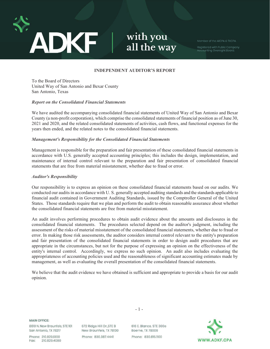

with you all the way

Member of the AICPA & TXCPA.

Registered with Public Company<br>Accounting Oversight Board.

# **INDEPENDENT AUDITOR'S REPORT**

To the Board of Directors United Way of San Antonio and Bexar County San Antonio, Texas

#### *Report on the Consolidated Financial Statements*

We have audited the accompanying consolidated financial statements of United Way of San Antonio and Bexar County (a non-profit corporation), which comprise the consolidated statements of financial position as of June 30, 2021 and 2020, and the related consolidated statements of activities, cash flows, and functional expenses for the years then ended, and the related notes to the consolidated financial statements.

#### *Management's Responsibility for the Consolidated Financial Statements*

Management is responsible for the preparation and fair presentation of these consolidated financial statements in accordance with U.S. generally accepted accounting principles; this includes the design, implementation, and maintenance of internal control relevant to the preparation and fair presentation of consolidated financial statements that are free from material misstatement, whether due to fraud or error.

#### *Auditor's Responsibility*

Our responsibility is to express an opinion on these consolidated financial statements based on our audits. We conducted our audits in accordance with U. S. generally accepted auditing standards and the standards applicable to financial audit contained in Government Auditing Standards, issued by the Comptroller General of the United States. Those standards require that we plan and perform the audit to obtain reasonable assurance about whether the consolidated financial statements are free from material misstatement.

An audit involves performing procedures to obtain audit evidence about the amounts and disclosures in the consolidated financial statements. The procedures selected depend on the auditor's judgment, including the assessment of the risks of material misstatement of the consolidated financial statements, whether due to fraud or error. In making those risk assessments, the auditor considers internal control relevant to the entity's preparation and fair presentation of the consolidated financial statements in order to design audit procedures that are appropriate in the circumstances, but not for the purpose of expressing an opinion on the effectiveness of the entity's internal control. Accordingly, we express no such opinion. An audit also includes evaluating the appropriateness of accounting policies used and the reasonableness of significant accounting estimates made by management, as well as evaluating the overall presentation of the consolidated financial statements.

We believe that the audit evidence we have obtained is sufficient and appropriate to provide a basis for our audit opinion.

**MAIN OFFICE:** 

8610 N. New Braunfels, STE 101 San Antonio, TX 78217

Phone: 210.829.1300 Fax: 210.829.4080

672 Ridge Hill Dr., STE B New Braunfels, TX 78130 Phone: 830.387.4441

616 E. Blanco, STE 300e Boerne, TX 78006 Phone: 830.815.1100



- 1 -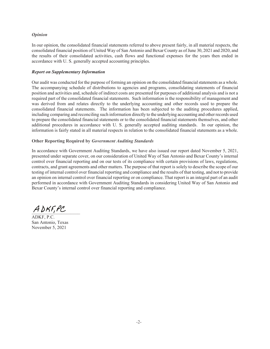#### *Opinion*

In our opinion, the consolidated financial statements referred to above present fairly, in all material respects, the consolidated financial position of United Way of San Antonio and Bexar Countyasof June 30,2021 and2020, and the results of their consolidated activities, cash flows and functional expenses for the years then ended in accordance with U. S. generally accepted accounting principles.

#### *Report on Supplementary Information*

Our audit was conducted for the purpose of forming an opinion on the consolidated financial statements asa whole. The accompanying schedule of distributions to agencies and programs, consolidating statements of financial position and activities and, schedule of indirect costs are presented for purposes of additional analysis and is not a required part of the consolidated financial statements. Such information is the responsibility of management and was derived from and relates directly to the underlying accounting and other records used to prepare the consolidated financial statements. The information has been subjected to the auditing procedures applied, including comparing and reconciling such information directly to the underlying accounting and other records used to prepare the consolidated financial statements or to the consolidated financial statements themselves, and other additional procedures in accordance with U.S. generally accepted auditing standards. In our opinion, the information is fairly stated in all material respects in relation to the consolidated financial statements as a whole.

#### **Other Reporting Required by** *Government Auditing Standards*

In accordance with Government Auditing Standards, we have also issued our report dated November , 2021, presented under separate cover, on our consideration of United Way of San Antonio and Bexar County's internal control over financial reporting and on our tests of its compliance with certain provisions of laws, regulations, contracts, and grant agreements and other matters. The purpose of that report is solely to describe the scope of our testing of internal control over financial reporting and compliance and the results of that testing, and not to provide an opinion on internal control over financial reporting or on compliance. That report is an integral part of an audit performed in accordance with Government Auditing Standards in considering United Way of San Antonio and Bexar County's internal control over financial reporting and compliance.

 $ADKF, PC$ 

ADKF, P.C. San Antonio, Texas November,2021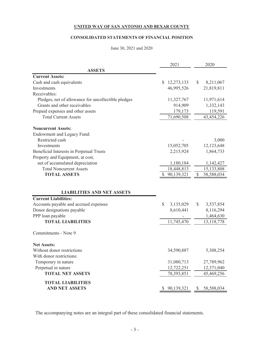# **CONSOLIDATED STATEMENTS OF FINANCIAL POSITION**

#### June 30, 2021 and 2020

|                                                     | 2021             | 2020                        |
|-----------------------------------------------------|------------------|-----------------------------|
| <b>ASSETS</b>                                       |                  |                             |
| <b>Current Assets:</b>                              |                  |                             |
| Cash and cash equivalents                           | \$<br>12,273,133 | S.<br>8,211,067             |
| Investments                                         | 46,995,526       | 21,819,811                  |
| Receivables:                                        |                  |                             |
| Pledges, net of allowance for uncollectible pledges | 11,327,767       | 11,971,614                  |
| Grants and other receivables                        | 914,909          | 1,332,143                   |
| Prepaid expenses and other assets                   | 179,173          | 119,591                     |
| <b>Total Current Assets</b>                         | 71,690,508       | 43,454,226                  |
| <b>Noncurrent Assets:</b>                           |                  |                             |
| Endowment and Legacy Fund:                          |                  |                             |
| Restricted cash                                     |                  | 3,000                       |
| Investments                                         | 15,052,705       | 12,123,648                  |
| Beneficial Interests in Perpetual Trusts            | 2,215,924        | 1,864,733                   |
| Property and Equipment, at cost,                    |                  |                             |
| net of accumulated depreciation                     | 1,180,184        | 1,142,427                   |
| <b>Total Noncurrent Assets</b>                      | 18,448,813       | 15,133,808                  |
| <b>TOTAL ASSETS</b>                                 | 90,139,321       | $\mathcal{S}$<br>58,588,034 |
|                                                     |                  |                             |
| <b>LIABILITIES AND NET ASSETS</b>                   |                  |                             |
| <b>Current Liabilities:</b>                         |                  |                             |
| Accounts payable and accrued expenses               | \$<br>3,135,029  | \$<br>3,537,854             |
| Donor designations payable                          | 8,610,441        | 8,116,294                   |
| PPP loan payable                                    |                  | 1,464,630                   |
| <b>TOTAL LIABILITIES</b>                            | 11,745,470       | 13,118,778                  |
| Commitments - Note 9                                |                  |                             |
|                                                     |                  |                             |
| <b>Net Assets:</b>                                  |                  |                             |
| Without donor restrictions                          | 34,590,887       | 5,308,254                   |
| With donor restrictions:                            |                  |                             |
| Temporary in nature                                 | 31,080,713       | 27,789,962                  |
| Perpetual in nature                                 | 12,722,251       | 12,371,040                  |
| <b>TOTAL NET ASSETS</b>                             | 78,393,851       | 45,469,256                  |
| <b>TOTAL LIABILITIES</b>                            |                  |                             |
| <b>AND NET ASSETS</b>                               | 90,139,321<br>S  | \$<br>58,588,034            |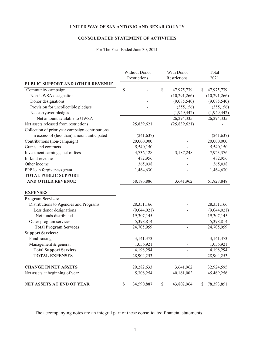# **CONSOLIDATED STATEMENT OF ACTIVITIES**

# For The Year Ended June 30, 2021

|                                                 |      | With Donor<br>Without Donor |    |                | Total |              |
|-------------------------------------------------|------|-----------------------------|----|----------------|-------|--------------|
|                                                 |      | Restrictions                |    | Restrictions   |       | 2021         |
| PUBLIC SUPPORT AND OTHER REVENUE                |      |                             |    |                |       |              |
| Community campaign                              | \$   |                             | \$ | 47,975,739     | S.    | 47,975,739   |
| Non-UWSA designations                           |      |                             |    | (10, 291, 266) |       | (10,291,266) |
| Donor designations                              |      |                             |    | (9,085,540)    |       | (9,085,540)  |
| Provision for uncollectible pledges             |      |                             |    | (355, 156)     |       | (355, 156)   |
| Net carryover pledges                           |      |                             |    | (1,949,442)    |       | (1,949,442)  |
| Net amount available to UWSA                    |      |                             |    | 26, 294, 335   |       | 26,294,335   |
| Net assets released from restrictions           |      | 25,839,621                  |    | (25,839,621)   |       |              |
| Collection of prior year campaign contributions |      |                             |    |                |       |              |
| in excess of (less than) amount anticipated     |      | (241, 637)                  |    |                |       | (241, 637)   |
| Contributions (non-campaign)                    |      | 20,000,000                  |    |                |       | 20,000,000   |
| Grants and contracts                            |      | 5,540,150                   |    |                |       | 5,540,150    |
| Investment earnings, net of fees                |      | 4,736,128                   |    | 3,187,248      |       | 7,923,376    |
| In-kind revenue                                 |      | 482,956                     |    |                |       | 482,956      |
| Other income                                    |      | 365,038                     |    |                |       | 365,038      |
| PPP loan forgiveness grant                      |      | 1,464,630                   |    |                |       | 1,464,630    |
| <b>TOTAL PUBLIC SUPPORT</b>                     |      |                             |    |                |       |              |
| <b>AND OTHER REVENUE</b>                        |      | 58,186,886                  |    | 3,641,962      |       | 61,828,848   |
| <b>EXPENSES</b>                                 |      |                             |    |                |       |              |
| <b>Program Services:</b>                        |      |                             |    |                |       |              |
| Distributions to Agencies and Programs          |      | 28,351,166                  |    |                |       | 28,351,166   |
| Less donor designations                         |      | (9,044,021)                 |    |                |       | (9,044,021)  |
| Net funds distributed                           |      | 19,307,145                  |    |                |       | 19,307,145   |
| Other program services                          |      | 5,398,814                   |    |                |       | 5,398,814    |
| <b>Total Program Services</b>                   |      | 24,705,959                  |    |                |       | 24,705,959   |
| <b>Support Services:</b>                        |      |                             |    |                |       |              |
| Fund-raising                                    |      | 3,141,373                   |    |                |       | 3,141,373    |
| Management & general                            |      | 1,056,921                   |    |                |       | 1,056,921    |
| <b>Total Support Services</b>                   |      | 4,198,294                   |    |                |       | 4,198,294    |
| <b>TOTAL EXPENSES</b>                           |      | 28,904,253                  |    | $\overline{a}$ |       | 28,904,253   |
| <b>CHANGE IN NET ASSETS</b>                     |      | 29,282,633                  |    | 3,641,962      |       | 32,924,595   |
| Net assets at beginning of year                 |      | 5,308,254                   |    | 40,161,002     |       | 45,469,256   |
| <b>NET ASSETS AT END OF YEAR</b>                | $\$$ | 34,590,887                  | \$ | 43,802,964     | \$    | 78,393,851   |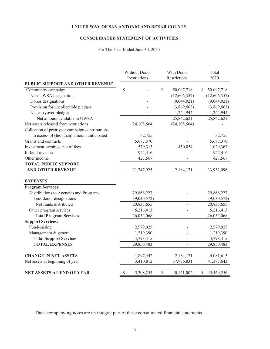# **CONSOLIDATED STATEMENT OF ACTIVITIES**

# For The Year Ended June 30, 2020

|                                                 | Without Donor   | With Donor |                          | Total            |
|-------------------------------------------------|-----------------|------------|--------------------------|------------------|
|                                                 | Restrictions    |            | Restrictions             | 2020             |
| PUBLIC SUPPORT AND OTHER REVENUE                |                 |            |                          |                  |
| Community campaign                              | \$              | \$         | 50,097,718               | \$<br>50,097,718 |
| Non-UWSA designations                           |                 |            | (12,606,357)             | (12,606,357)     |
| Donor designations                              |                 |            | (9,044,021)              | (9,044,021)      |
| Provision for uncollectible pledges             |                 |            | (3,869,663)              | (3,869,663)      |
| Net carryover pledges                           |                 |            | 1,264,944                | 1,264,944        |
| Net amount available to UWSA                    |                 |            | 25,842,621               | 25,842,621       |
| Net assets released from restrictions           | 24,108,504      |            | (24, 108, 504)           |                  |
| Collection of prior year campaign contributions |                 |            |                          |                  |
| in excess of (less than) amount anticipated     | 32,755          |            |                          | 32,755           |
| Grants and contracts                            | 5,677,370       |            |                          | 5,677,370        |
| Investment earnings, net of fees                | 579,313         |            | 450,054                  | 1,029,367        |
| In-kind revenue                                 | 922,416         |            |                          | 922,416          |
| Other income                                    | 427,567         |            |                          | 427,567          |
| <b>TOTAL PUBLIC SUPPORT</b>                     |                 |            |                          |                  |
| <b>AND OTHER REVENUE</b>                        | 31,747,925      |            | 2,184,171                | 33,932,096       |
| <b>EXPENSES</b>                                 |                 |            |                          |                  |
| <b>Program Services:</b>                        |                 |            |                          |                  |
| Distributions to Agencies and Programs          | 29,866,227      |            |                          | 29,866,227       |
| Less donor designations                         | (9,030,572)     |            |                          | (9,030,572)      |
| Net funds distributed                           | 20,835,655      |            | $\frac{1}{2}$            | 20,835,655       |
| Other program services                          | 5,216,413       |            |                          | 5,216,413        |
| <b>Total Program Services</b>                   | 26,052,068      |            | $\overline{\phantom{a}}$ | 26,052,068       |
| <b>Support Services:</b>                        |                 |            |                          |                  |
| Fund-raising                                    | 2,579,025       |            |                          | 2,579,025        |
| Management & general                            | 1,219,390       |            |                          | 1,219,390        |
| <b>Total Support Services</b>                   | 3,798,415       |            |                          | 3,798,415        |
| <b>TOTAL EXPENSES</b>                           | 29,850,483      |            |                          | 29,850,483       |
| <b>CHANGE IN NET ASSETS</b>                     | 1,897,442       |            | 2,184,171                | 4,081,613        |
| Net assets at beginning of year                 | 3,410,812       |            | 37,976,831               | 41,387,643       |
| <b>NET ASSETS AT END OF YEAR</b>                | \$<br>5,308,254 | \$         | 40,161,002               | \$<br>45,469,256 |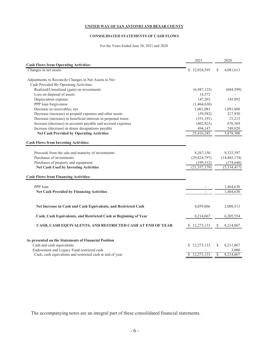#### **CONSOLIDATED STATEMENTS OF CASH FLOWS**

For the Years Ended June 30, 2021 and 2020

|                                                                  | 2021             | 2020                   |
|------------------------------------------------------------------|------------------|------------------------|
| <b>Cash Flows from Operating Activities:</b>                     |                  |                        |
| Changes in net assets                                            | 32,924,595<br>\$ | \$<br>4,081,613        |
|                                                                  |                  |                        |
| Adjustments to Reconcile Changes in Net Assets to Net            |                  |                        |
| Cash Provided By Operating Activities:                           |                  |                        |
| Realized/Unrealized (gain) on investments                        | (6,947,125)      | (604, 599)             |
| Loss on disposal of assets                                       | 14,572           |                        |
| Depreciation expense                                             | 147,203          | 145,892                |
| PPP loan forgiveness                                             | (1,464,630)      |                        |
| Decrease in receivables, net                                     | 1,061,081        | 1,091,860              |
| Decrease (increase) in prepaid expenses and other assets         | (59, 582)        | 217,930                |
| Decrease (increase) in beneficial interests in perpetual trusts  | (351, 191)       | 21,215                 |
| Increase (decrease) in accounts payable and accrued expenses     | (402, 825)       | 676,369                |
| Increase (decrease) in donor designations payable                | 494,147          | 248,020                |
| <b>Net Cash Provided by Operating Activities</b>                 | 25,416,245       | 5,878,300              |
|                                                                  |                  |                        |
| <b>Cash Flows from Investing Activities:</b>                     |                  |                        |
| Proceeds from the sale and maturity of investments               | 8,267,150        | 9,325,397              |
| Purchases of investments                                         |                  |                        |
|                                                                  | (29, 424, 797)   | (14, 485, 174)         |
| Purchases of property and equipment                              | (199, 532)       | (174, 640)             |
| <b>Net Cash Used by Investing Activities</b>                     | (21, 357, 179)   | (5, 334, 417)          |
| <b>Cash Flows from Financing Activities:</b>                     |                  |                        |
| PPP loan                                                         |                  |                        |
| <b>Net Cash Provided by Financing Activities</b>                 |                  | 1,464,630<br>1,464,630 |
|                                                                  |                  |                        |
| Net Increase in Cash and Cash Equivalents, and Restricted Cash   | 4,059,066        | 2,008,513              |
|                                                                  |                  |                        |
| Cash, Cash Equivalents, and Restricted Cash at Beginning of Year | 8,214,067        | 6,205,554              |
| CASH, CASH EQUIVALENTS, AND RESTRICTED CASH AT END OF YEAR       | \$12,273,133     | 8,214,067<br>S         |
|                                                                  |                  |                        |
| As presented on the Statements of Financial Position             |                  |                        |
| Cash and cash equivalents                                        | \$12,273,133     | 8,211,067<br>\$        |
| Endowment and Legacy Fund restricted cash                        |                  | 3,000                  |
| Cash, cash equivalents and restricted cash at end of year        | 12,273,133       | \$<br>8,214,067        |
|                                                                  |                  |                        |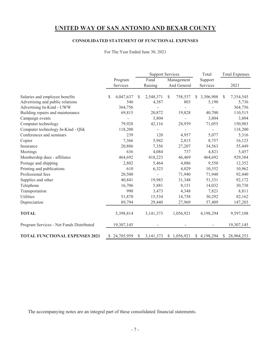# **CONSOLIDATED STATEMENT OF FUNCTIONAL EXPENSES**

For The Year Ended June 30, 2021

|                                          |                |               | <b>Support Services</b>  |              | Total       |              | <b>Total Expenses</b> |
|------------------------------------------|----------------|---------------|--------------------------|--------------|-------------|--------------|-----------------------|
|                                          | Program        |               | Fund                     | Management   | Support     |              |                       |
|                                          | Services       |               | Raising                  | And General  | Services    |              | 2021                  |
|                                          |                |               |                          |              |             |              |                       |
| Salaries and employee benefits           | 4,047,637<br>S | \$.           | 2,548,371                | 758,537<br>S | \$3,306,908 | <sup>S</sup> | 7,354,545             |
| Advertising and public relations         | 546            |               | 4,387                    | 803          | 5,190       |              | 5,736                 |
| Advertising In-Kind - UWW                | 364,756        |               |                          |              |             |              | 364,756               |
| Building repairs and maintenance         | 69,815         |               | 20,872                   | 19,828       | 40,700      |              | 110,515               |
| Campaign events                          |                |               | 3,804                    |              | 3,804       |              | 3,804                 |
| Computer technology                      | 79,928         |               | 42,116                   | 28,939       | 71,055      |              | 150,983               |
| Computer technology In-Kind - Qlik       | 118,200        |               |                          |              |             |              | 118,200               |
| Conferences and seminars                 | 239            |               | 120                      | 4,957        | 5,077       |              | 5,316                 |
| Copier                                   | 7,366          |               | 5,942                    | 2,815        | 8,757       |              | 16,123                |
| Insurance                                | 20,886         |               | 7,356                    | 27,207       | 34,563      |              | 55,449                |
| Meetings                                 | 636            |               | 4,084                    | 737          | 4,821       |              | 5,457                 |
| Membership dues - affiliates             | 464,692        |               | 418,223                  | 46,469       | 464,692     |              | 929,384               |
| Postage and shipping                     | 2,802          |               | 5,464                    | 4,086        | 9,550       |              | 12,352                |
| Printing and publications                | 610            |               | 6,323                    | 4,029        | 10,352      |              | 10,962                |
| Professional fees                        | 20,500         |               | $\overline{\phantom{a}}$ | 71,940       | 71,940      |              | 92,440                |
| Supplies and other                       | 40,841         |               | 19,983                   | 31,348       | 51,331      |              | 92,172                |
| Telephone                                | 16,706         |               | 5,881                    | 8,151        | 14,032      |              | 30,738                |
| Transportation                           | 990            |               | 3,473                    | 4,348        | 7,821       |              | 8,811                 |
| Utilities                                | 51,870         |               | 15,534                   | 14,758       | 30,292      |              | 82,162                |
| Depreciation                             | 89,794         |               | 29,440                   | 27,969       | 57,409      |              | 147,203               |
|                                          |                |               |                          |              |             |              |                       |
| <b>TOTAL</b>                             | 5,398,814      |               | 3, 141, 373              | 1,056,921    | 4,198,294   |              | 9,597,108             |
| Program Services - Net Funds Distributed | 19,307,145     |               |                          |              |             |              | 19,307,145            |
| <b>TOTAL FUNCTIONAL EXPENSES 2021</b>    | \$24,705,959   | <sup>\$</sup> | 3, 141, 373              | \$1,056,921  | \$4,198,294 | <sup>S</sup> | 28,904,253            |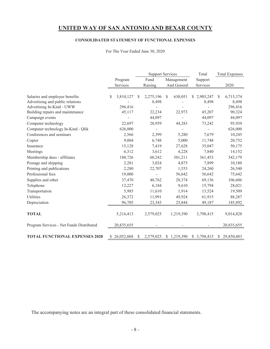# **CONSOLIDATED STATEMENT OF FUNCTIONAL EXPENSES**

|                                          |                |          | <b>Support Services</b>  |    |             |  | Total        |               | <b>Total Expenses</b> |
|------------------------------------------|----------------|----------|--------------------------|----|-------------|--|--------------|---------------|-----------------------|
|                                          | Program        |          | Fund                     |    | Management  |  | Support      |               |                       |
|                                          | Services       |          | Raising                  |    | And General |  | Services     |               | 2020                  |
|                                          |                |          |                          |    |             |  |              |               |                       |
| Salaries and employee benefits           | 3,810,127<br>S | <b>S</b> | 2,275,196                | \$ | 630,051     |  | \$2,905,247  | <sup>\$</sup> | 6,715,374             |
| Advertising and public relations         |                |          | 8,498                    |    |             |  | 8,498        |               | 8,498                 |
| Advertising In-Kind - UWW                | 296,416        |          | $\overline{\phantom{a}}$ |    |             |  |              |               | 296,416               |
| Building repairs and maintenance         | 45,117         |          | 22,234                   |    | 22,973      |  | 45,207       |               | 90,324                |
| Campaign events                          |                |          | 44,097                   |    |             |  | 44,097       |               | 44,097                |
| Computer technology                      | 22,697         |          | 28,959                   |    | 44,283      |  | 73,242       |               | 95,939                |
| Computer technology In-Kind - Qlik       | 626,000        |          |                          |    |             |  |              |               | 626,000               |
| Conferences and seminars                 | 2,566          |          | 2,399                    |    | 5,280       |  | 7,679        |               | 10,245                |
| Copier                                   | 9,004          |          | 6,748                    |    | 5,000       |  | 11,748       |               | 20,752                |
| Insurance                                | 15,128         |          | 7,419                    |    | 27,628      |  | 35,047       |               | 50,175                |
| Meetings                                 | 6,312          |          | 3,612                    |    | 4,228       |  | 7,840        |               | 14,152                |
| Membership dues - affiliates             | 180,726        |          | 60,242                   |    | 301,211     |  | 361,453      |               | 542,179               |
| Postage and shipping                     | 2,281          |          | 3,024                    |    | 4,875       |  | 7,899        |               | 10,180                |
| Printing and publications                | 2,280          |          | 22,707                   |    | 1,553       |  | 24,260       |               | 26,540                |
| Professional fees                        | 19,000         |          |                          |    | 56,642      |  | 56,642       |               | 75,642                |
| Supplies and other                       | 37,470         |          | 40,762                   |    | 28,374      |  | 69,136       |               | 106,606               |
| Telephone                                | 12,227         |          | 6,184                    |    | 9,610       |  | 15,794       |               | 28,021                |
| Transportation                           | 5,985          |          | 11,610                   |    | 1,914       |  | 13,524       |               | 19,509                |
| Utilities                                | 26,372         |          | 11,991                   |    | 49,924      |  | 61,915       |               | 88,287                |
| Depreciation                             | 96,705         |          | 23,343                   |    | 25,844      |  | 49,187       |               | 145,892               |
|                                          |                |          |                          |    |             |  |              |               |                       |
| <b>TOTAL</b>                             | 5,216,413      |          | 2,579,025                |    | 1,219,390   |  | 3,798,415    |               | 9,014,828             |
| Program Services - Net Funds Distributed | 20,835,655     |          |                          |    |             |  |              |               | 20,835,655            |
| <b>TOTAL FUNCTIONAL EXPENSES 2020</b>    | \$26,052,068   | S        | 2,579,025                |    | \$1,219,390 |  | \$ 3,798,415 |               | \$29,850,483          |

For The Year Ended June 30, 2020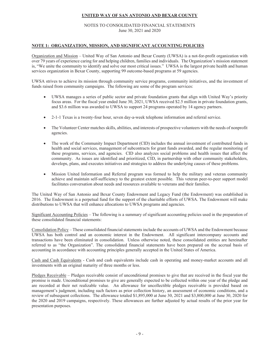#### NOTES TO CONSOLIDATED FINANCIAL STATEMENTS June 30, 2021 and 2020

#### **NOTE 1: ORGANIZATION, MISSION, AND SIGNIFICANT ACCOUNTING POLICIES**

Organization and Mission – United Way of San Antonio and Bexar County (UWSA) is a not-for-profit organization with over 79 years of experience caring for and helping children, families and individuals. The Organization's mission statement is, "We unite the community to identify and solve our most critical issues." UWSA is the largest private health and human services organization in Bexar County, supporting 99 outcome-based programs at 59 agencies.

UWSA strives to achieve its mission through community service programs, community initiatives, and the investment of funds raised from community campaigns. The following are some of the program services:

- UWSA manages a series of public sector and private foundation grants that align with United Way's priority focus areas. For the fiscal year ended June 30, 2021, UWSA received \$2.5 million in private foundation grants, and \$3.6 million was awarded to UWSA to support 24 programs operated by 14 agency partners.
- x 2-1-1 Texas is a twenty-four hour, seven day-a-week telephone information and referral service.
- x The Volunteer Center matches skills, abilities, and interests of prospective volunteers with the needs of nonprofit agencies.
- The work of the Community Impact Department (CID) includes the annual investment of contributed funds in health and social services, management of subcontracts for grant funds awarded, and the regular monitoring of these programs, services, and agencies. CID also analyzes social problems and health issues that affect the community. As issues are identified and prioritized, CID, in partnership with other community stakeholders, develops, plans, and executes initiatives and strategies to address the underlying causes of these problems.
- x Mission United Information and Referral program was formed to help the military and veteran community achieve and maintain self-sufficiency to the greatest extent possible. This veteran peer-to-peer support model facilitates conversation about needs and resources available to veterans and their families.

The United Way of San Antonio and Bexar County Endowment and Legacy Fund (the Endowment) was established in 2016. The Endowment is a perpetual fund for the support of the charitable efforts of UWSA. The Endowment will make distributions to UWSA that will enhance allocations to UWSA programs and agencies.

Significant Accounting Policies – The following is a summary of significant accounting policies used in the preparation of these consolidated financial statements:

Consolidation Policy – These consolidated financial statements include the accounts of UWSA and the Endowment because UWSA has both control and an economic interest in the Endowment. All significant intercompany accounts and transactions have been eliminated in consolidation. Unless otherwise noted, these consolidated entities are hereinafter referred to as "the Organization". The consolidated financial statements have been prepared on the accrual basis of accounting in accordance with accounting principles generally accepted in the United States of America.

Cash and Cash Equivalents - Cash and cash equivalents include cash in operating and money-market accounts and all investments with an original maturity of three months or less.

Pledges Receivable – Pledges receivable consist of unconditional promises to give that are received in the fiscal year the promise is made. Unconditional promises to give are generally expected to be collected within one year of the pledge and are recorded at their net realizable value. An allowance for uncollectible pledges receivable is provided based on management's judgment, including such factors as prior collection history, an assessment of economic conditions, and a review of subsequent collections. The allowance totaled \$1,895,000 at June 30, 2021 and \$3,800,000 at June 30, 2020 for the 2020 and 2019 campaigns, respectively. These allowances are further adjusted by actual results of the prior year for presentation purposes.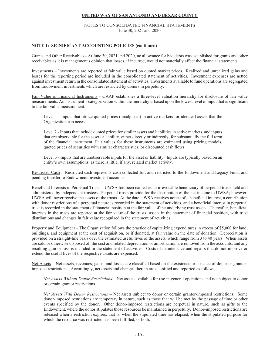#### NOTES TO CONSOLIDATED FINANCIAL STATEMENTS June 30, 2021 and 2020

#### **NOTE 1: SIGNIFICANT ACCOUNTING POLICIES (continued)**

Grants and Other Receivables - At June 30, 2021 and 2020, no allowance for bad debts was established for grants and other receivables as it is management's opinion that losses, if incurred, would not materially affect the financial statements.

Investments – Investments are reported at fair value based on quoted market prices. Realized and unrealized gains and losses for the reporting period are included in the consolidated statement of activities. Investment expenses are netted against investment return in the consolidated statement of activities. Investments available to fund operations are segregated from Endowment investments which are restricted by donors in perpetuity.

Fair Value of Financial Instruments - GAAP establishes a three-level valuation hierarchy for disclosure of fair value measurements. An instrument's categorization within the hierarchy is based upon the lowest level of input that is significant to the fair value measurement.

Level 1 - Inputs that utilize quoted prices (unadjusted) in active markets for identical assets that the Organization can access.

Level 2 - Inputs that include quoted prices for similar assets and liabilities in active markets, and inputs that are observable for the asset or liability, either directly or indirectly, for substantially the full term of the financial instrument. Fair values for these instruments are estimated using pricing models, quoted prices of securities with similar characteristics, or discounted cash flows.

Level 3 - Inputs that are unobservable inputs for the asset or liability. Inputs are typically based on an entity's own assumptions, as there is little, if any, related market activity.

Restricted Cash – Restricted cash represents cash collected for, and restricted to the Endowment and Legacy Fund, and pending transfer to Endowment investment accounts.

Beneficial Interests in Perpetual Trusts – UWSA has been named as an irrevocable beneficiary of perpetual trusts held and administered by independent trustees. Perpetual trusts provide for the distribution of the net income to UWSA; however, UWSA will never receive the assets of the trusts. At the date UWSA receives notice of a beneficial interest, a contribution with donor restrictions of a perpetual nature is recorded in the statement of activities, and a beneficial interest in perpetual trust is recorded in the statement of financial position at the fair value of the underlying trust assets. Thereafter, beneficial interests in the trusts are reported at the fair value of the trusts' assets in the statement of financial position, with trust distributions and changes in fair value recognized in the statement of activities.

Property and Equipment – The Organization follows the practice of capitalizing expenditures in excess of \$5,000 for land, buildings, and equipment at the cost of acquisition, or if donated, at fair value on the date of donation. Depreciation is provided on a straight-line basis over the estimated useful lives of the assets, which range from 3 to 40 years. When assets are sold or otherwise disposed of, the cost and related depreciation or amortization are removed from the accounts, and any resulting gain or loss is included in the statement of activities. Costs of maintenance and repairs that do not improve or extend the useful lives of the respective assets are expensed.

Net Assets – Net assets, revenues, gains, and losses are classified based on the existence or absence of donor or grantorimposed restrictions. Accordingly, net assets and changes therein are classified and reported as follows:

*Net Assets Without Donor Restrictions* – Net assets available for use in general operations and not subject to donor or certain grantor restrictions.

*Net Assets With Donor Restrictions –* Net assets subject to donor or certain grantor-imposed restrictions. Some donor-imposed restrictions are temporary in nature, such as those that will be met by the passage of time or other events specified by the donor. Other donor-imposed restrictions are perpetual in nature, such as gifts to the Endowment, where the donor stipulates those resources be maintained in perpetuity. Donor-imposed restrictions are released when a restriction expires, that is, when the stipulated time has elapsed, when the stipulated purpose for which the resource was restricted has been fulfilled, or both.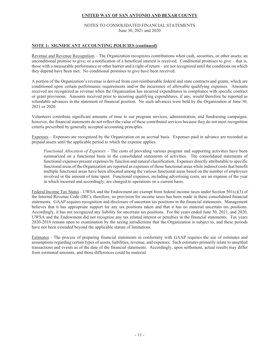#### NOTES TO CONSOLIDATED FINANCIAL STATEMENTS June 30, 2021 and 2020

#### **NOTE 1: SIGNIFICANT ACCOUNTING POLICIES (continued)**

Revenue and Revenue Recognition – The Organization recognizes contributions when cash, securities, or other assets; an unconditional promise to give; or a notification of a beneficial interest is received. Conditional promises to give – that is, those with a measurable performance or other barrier and a right of return – are not recognized until the conditions on which they depend have been met. No conditional promises to give have been received.

A portion of the Organization's revenue is derived from cost-reimbursable federal and state contracts and grants, which are conditioned upon certain performance requirements and/or the incurrence of allowable qualifying expenses. Amounts received are recognized as revenue when the Organization has incurred expenditures in compliance with specific contract or grant provisions. Amounts received prior to incurring qualifying expenditures, if any, would therefore be reported as refundable advances in the statement of financial position. No such advances were held by the Organization at June 30, 2021 or 2020.

Volunteers contribute significant amounts of time to our program services, administration, and fundraising campaigns; however, the financial statements do not reflect the value of these contributed services because they do not meet recognition criteria prescribed by generally accepted accounting principles.

Expenses – Expenses are recognized by the Organization on an accrual basis. Expenses paid in advance are recorded as prepaid assets until the applicable period to which the expense applies.

*Functional Allocation of Expenses* – The costs of providing various program and supporting activities have been summarized on a functional basis in the consolidated statements of activities. The consolidated statements of functional expenses present expenses by function and natural classification. Expenses directly attributable to specific functional areas of the Organization are reported as expenses of those functional areas while indirect costs that benefit multiple functional areas have been allocated among the various functional areas based on the number of employees involved or the amount of time spent. Functional expenses, including advertising costs, are an expense of the year in which incurred and accordingly, are charged to operations on a current basis.

Federal Income Tax Status - UWSA and the Endowment are exempt from federal income taxes under Section 501(c)(3) of the Internal Revenue Code (IRC); therefore, no provision for income taxes has been made in these consolidated financial statements. GAAP requires recognition and disclosure of uncertain tax positions in the financial statements. Management believes that it has appropriate support for any tax positions taken and that it has no material uncertain tax positions. Accordingly, it has not recognized any liability for uncertain tax positions. For the years ended June 30, 2021, and 2020, UWSA and the Endowment did not recognize any tax related interest or penalties in the financial statements. Tax years 2020-2018 remain open to examination by the taxing jurisdictions that the Organization is subject to, and these periods have not been extended beyond the applicable statute of limitations.

Estimates - The process of preparing financial statements in conformity with GAAP requires the use of estimates and assumptions regarding certain types of assets, liabilities, revenue, and expenses. Such estimates primarily relate to unsettled transactions and events as of the date of the financial statements. Accordingly, upon settlement, actual results may differ from estimated amounts, and those differences could be material.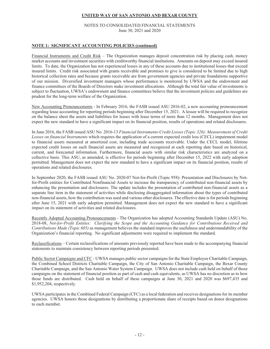#### NOTES TO CONSOLIDATED FINANCIAL STATEMENTS June 30, 2021 and 2020

#### **NOTE 1: SIGNIFICANT ACCOUNTING POLICIES (continued)**

Financial Instruments and Credit Risk – The Organization manages deposit concentration risk by placing cash, money market accounts and investment securities with creditworthy financial institutions. Amounts on deposit may exceed insured limits. To date, the Organization has not experienced losses in any of these accounts due to institutional losses that exceed insured limits. Credit risk associated with grants receivable and promises to give is considered to be limited due to high historical collection rates and because grants receivable are from government agencies and private foundations supportive of our mission. Diversified investment managers whose performance is monitored by UWSA and the endowment and finance committees of the Boards of Directors make investment allocations. Although the total fair value of investments is subject to fluctuation, UWSA's endowment and finance committees believe that the investment policies and guidelines are prudent for the long-term welfare of the Organization.

New Accounting Pronouncements - In February 2016, the FASB issued ASU 2016-02, a new accounting pronouncement regarding lease accounting for reporting periods beginning after December 15, 2021. A lessee will be required to recognize on the balance sheet the assets and liabilities for leases with lease terms of more than 12 months. Management does not expect the new standard to have a significant impact on its financial position, results of operations and related disclosures.

In June 2016, the FASB issued ASU No. 2016-13 *Financial Instruments-Credit Losses (Topic 326): Measurement of Credit Losses on financial Instruments* which requires the application of a current expected credit loss (CECL) impairment model to financial assets measured at amortized cost, including trade accounts receivable. Under the CECL model, lifetime expected credit losses on such financial assets are measured and recognized at each reporting date based on historical, current, and forecasted information. Furthermore, financial assets with similar risk characteristics are analyzed on a collective basis. This ASU, as amended, is effective for periods beginning after December 15, 2022 with early adoption permitted. Management does not expect the new standard to have a significant impact on its financial position, results of operations and related disclosures.

In September 2020, the FASB issued ASU No. 2020-07 Not-for-Profit (Topic 958): Presentation and Disclosures by Notfor-Profit entities for Contributed Nonfinancial Assets to increase the transparency of contributed non-financial assets by enhancing the presentation and disclosures. The update includes the presentation of contributed non-financial assets as a separate line item in the statement of activities while disclosing disaggregated information about the types of contributed non-financial assets, how the contribution was used and various other disclosures. The effective date is for periods beginning after June 15, 2021 with early adoption permitted. Management does not expect the new standard to have a significant impact on its statement of activities and related disclosures.

Recently Adopted Accounting Pronouncements - The Organization has adopted Accounting Standards Update (ASU) No. 2018-08, *Not-for-Profit Entities: Clarifying the Scope and the Accounting Guidance for Contributions Received and Contributions Made (Topic 605)* as management believes the standard improves the usefulness and understandability of the Organization's financial reporting. No significant adjustments were required to implement the standard.

Reclassifications – Certain reclassifications of amounts previously reported have been made to the accompanying financial statements to maintain consistency between reporting periods presented.

Public Sector Campaigns and CFC - UWSA manages public sector campaigns for the State Employee Charitable Campaign, the Combined School Districts Charitable Campaign, the City of San Antonio Charitable Campaign, the Bexar County Charitable Campaign, and the San Antonio Water System Campaign. UWSA does not include cash held on behalf of those campaigns on the statement of financial position as part of cash and cash equivalents, as UWSA has no discretion as to how those funds are distributed. Cash held on behalf of these campaigns at June 30, 2021 and 2020 was \$697,435 and \$1,952,204, respectively.

UWSA participates in the Combined Federal Campaign (CFC) as a local federation and receives designations for its member agencies. UWSA honors those designations by distributing a proportionate share of receipts based on donor designations to each member.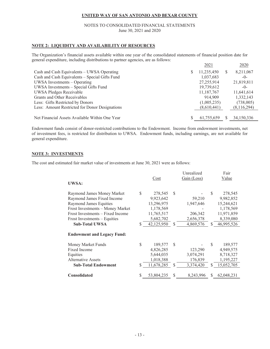#### NOTES TO CONSOLIDATED FINANCIAL STATEMENTS June 30, 2021 and 2020

#### **NOTE 2: LIQUIDITY AND AVAILABILITY OF RESOURCES**

The Organization's financial assets available within one year of the consolidated statements of financial position date for general expenditure, including distributions to partner agencies, are as follows:

|                                                |   | 2021        |          | 2020        |
|------------------------------------------------|---|-------------|----------|-------------|
| Cash and Cash Equivalents – UWSA Operating     | S | 11,235,450  | <b>S</b> | 8,211,067   |
| Cash and Cash Equivalents - Special Gifts Fund |   | 1,037,683   |          | $-()$       |
| UWSA Investments – Operating                   |   | 27,255,914  |          | 21,819,811  |
| UWSA Investments - Special Gifts Fund          |   | 19,739,612  |          | $-()$       |
| UWSA Pledges Receivable                        |   | 11,187,767  |          | 11,641,614  |
| Grants and Other Receivables                   |   | 914,909     |          | 1,332,143   |
| Less: Gifts Restricted by Donors               |   | (1,005,235) |          | (738,005)   |
| Less: Amount Restricted for Donor Designations |   | (8,610,441) |          | (8,116,294) |
|                                                |   |             |          |             |
| Net Financial Assets Available Within One Year |   | 61,755,659  |          | 34,150,336  |

Endowment funds consist of donor-restricted contributions to the Endowment. Income from endowment investments, net of investment fees, is restricted for distribution to UWSA. Endowment funds, including earnings, are not available for general expenditure.

#### **NOTE 3: INVESTMENTS**

The cost and estimated fair market value of investments at June 30, 2021 were as follows:

|                                   |     |            |               | Unrealized  |     | Fair       |
|-----------------------------------|-----|------------|---------------|-------------|-----|------------|
|                                   |     | Cost       |               | Gain (Loss) |     | Value      |
| UWSA:                             |     |            |               |             |     |            |
| Raymond James Money Market        | \$  | 278,545    | <sup>\$</sup> |             | \$  | 278,545    |
| Raymond James Fixed Income        |     | 9,923,642  |               | 59,210      |     | 9,982,852  |
| Raymond James Equities            |     | 13,296,975 |               | 1,947,646   |     | 15,244,621 |
| Frost Investments - Money Market  |     | 1,178,569  |               |             |     | 1,178,569  |
| Frost Investments – Fixed Income  |     | 11,765,517 |               | 206,342     |     | 11,971,859 |
| Frost Investments – Equities      |     | 5,682,702  |               | 2,656,378   |     | 8,339,080  |
| <b>Sub-Total UWSA</b>             | \$. | 42,125,950 | <sup>\$</sup> | 4,869,576   | \$. | 46,995,526 |
|                                   |     |            |               |             |     |            |
| <b>Endowment and Legacy Fund:</b> |     |            |               |             |     |            |
| Money Market Funds                | \$  | 189,577    | <sup>\$</sup> |             | \$  | 189,577    |
| Fixed Income                      |     | 4,826,285  |               | 123,290     |     | 4,949,575  |
| Equities                          |     | 5,644,035  |               | 3,074,291   |     | 8,718,327  |
| <b>Alternative Assets</b>         |     | 1,018,388  |               | 176,839     |     | 1,195,227  |
| <b>Sub-Total Endowment</b>        | \$. | 11,678,285 | S             | 3,374,420   | \$  | 15,052,705 |
|                                   |     |            |               |             |     |            |
| <b>Consolidated</b>               | \$  | 53,804,235 | S             | 8,243,996   | \$. | 62,048,231 |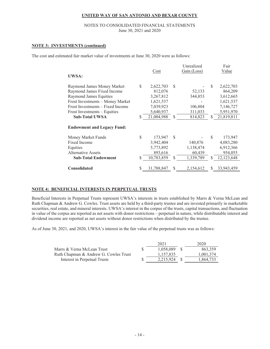#### NOTES TO CONSOLIDATED FINANCIAL STATEMENTS June 30, 2021 and 2020

#### **NOTE 3: INVESTMENTS (continued)**

The cost and estimated fair market value of investments at June 30, 2020 were as follows:

|                                   |                  |               | Unrealized  |     | Fair         |
|-----------------------------------|------------------|---------------|-------------|-----|--------------|
|                                   | Cost             |               | Gain (Loss) |     | Value        |
| UWSA:                             |                  |               |             |     |              |
| Raymond James Money Market        | \$<br>2,622,703  | <sup>\$</sup> |             | \$. | 2,622,703    |
| Raymond James Fixed Income        | 812,076          |               | 52,133      |     | 864,209      |
| Raymond James Equities            | 3,267,812        |               | 344,853     |     | 3,612,665    |
| Frost Investments - Money Market  | 1,621,537        |               |             |     | 1,621,537    |
| Frost Investments – Fixed Income  | 7,039,923        |               | 106,804     |     | 7,146,727    |
| Frost Investments – Equities      | 5,640,937        |               | 311,033     |     | 5,951,970    |
| <b>Sub-Total UWSA</b>             | \$<br>21,004,988 | <sup>\$</sup> | 814,823     | \$  | 21,819,811   |
|                                   |                  |               |             |     |              |
| <b>Endowment and Legacy Fund:</b> |                  |               |             |     |              |
| Money Market Funds                | \$<br>173,947    | <sup>\$</sup> |             | S   | 173,947      |
| Fixed Income                      | 3,942,404        |               | 140,876     |     | 4,083,280    |
| Equities                          | 5,773,892        |               | 1,138,474   |     | 6,912,366    |
| Alternative Assets                | 893,616          |               | 60,439      |     | 954,055      |
| <b>Sub-Total Endowment</b>        | \$<br>10,783,859 | <sup>\$</sup> | 1,339,789   | \$  | 12, 123, 648 |
|                                   |                  |               |             |     |              |
| Consolidated                      | \$<br>31,788,847 | S             | 2,154,612   | S   | 33,943,459   |

#### **NOTE 4: BENEFICIAL INTERESTS IN PERPETUAL TRUSTS**

Beneficial Interests in Perpetual Trusts represent UWSA's interests in trusts established by Marrs & Verna McLean and Ruth Chapman & Andrew G. Cowles. Trust assets are held by a third-party trustee and are invested primarily in marketable securities, real estate, and mineral interests. UWSA's interest in the corpus of the trusts, capital transactions, and fluctuation in value of the corpus are reported as net assets with donor restrictions – perpetual in nature, while distributable interest and dividend income are reported as net assets without donor restrictions when distributed by the trustee.

As of June 30, 2021, and 2020, UWSA's interest in the fair value of the perpetual trusts was as follows:

|                                       | 2021      | 2020      |
|---------------------------------------|-----------|-----------|
| Marrs & Verna McLean Trust            | 1.058.089 | 863,359   |
| Ruth Chapman & Andrew G. Cowles Trust | 1.157.835 | 1,001,374 |
| Interest in Perpetual Trusts          | 2.215.924 | 1,864,733 |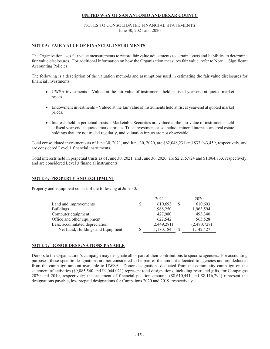#### NOTES TO CONSOLIDATED FINANCIAL STATEMENTS June 30, 2021 and 2020

#### **NOTE 5: FAIR VALUE OF FINANCIAL INSTRUMENTS**

The Organization uses fair value measurements to record fair value adjustments to certain assets and liabilities to determine fair value disclosures. For additional information on how the Organization measures fair value, refer to Note 1, Significant Accounting Policies.

The following is a description of the valuation methods and assumptions used in estimating the fair value disclosures for financial investments:

- x UWSA investments Valued at the fair value of instruments held at fiscal year-end at quoted market prices.
- Endowment investments Valued at the fair value of instruments held at fiscal year-end at quoted market prices.
- Interests held in perpetual trusts Marketable Securities are valued at the fair value of instruments held at fiscal year-end at quoted market prices. Trust investments also include mineral interests and real estate holdings that are not traded regularly, and valuation inputs are not observable.

Total consolidated investments as of June 30, 2021, and June 30, 2020, are \$62,048,231 and \$33,943,459, respectively, and are considered Level 1 financial instruments.

Total interests held in perpetual trusts as of June 30, 2021, and June 30, 2020, are \$2,215,924 and \$1,864,733, respectively, and are considered Level 3 financial instruments.

#### **NOTE 6: PROPERTY AND EQUIPMENT**

Property and equipment consist of the following at June 30:

|                                   | 2021        | 2020        |
|-----------------------------------|-------------|-------------|
| Land and improvements             | 610,693     | 610,693     |
| <b>Buildings</b>                  | 1,968,250   | 1,963,594   |
| Computer equipment                | 427,980     | 493,340     |
| Office and other equipment        | 622,542     | 565,528     |
| Less: accumulated depreciation    | (2,449,281) | (2,490,728) |
| Net Land, Buildings and Equipment | 1,180,184   | 1,142,427   |

#### **NOTE 7: DONOR DESIGNATIONS PAYABLE**

Donors to the Organization's campaign may designate all or part of their contributions to specific agencies. For accounting purposes, these specific designations are not considered to be part of the amount allocated to agencies and are deducted from the campaign amount available to UWSA. Donor designations deducted from the community campaign on the statement of activities (\$9,085,540 and \$9,044,021) represent total designations, including restricted gifts, for Campaigns 2020 and 2019, respectively; the statement of financial position amounts (\$8,610,441 and \$8,116,294) represent the designations payable, less prepaid designations for Campaigns 2020 and 2019, respectively.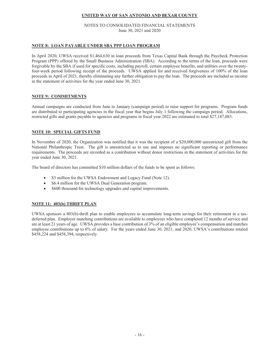#### NOTES TO CONSOLIDATED FINANCIAL STATEMENTS June 30, 2021 and 2020

#### **NOTE 8: LOAN PAYABLE UNDER SBA PPP LOAN PROGRAM**

In April 2020, UWSA received \$1,464,630 in loan proceeds from Texas Capital Bank through the Paycheck Protection Program (PPP) offered by the Small Business Administration (SBA). According to the terms of the loan, proceeds were forgivable by the SBA if used for specific costs, including payroll, certain employee benefits, and utilities over the twentyfour-week period following receipt of the proceeds. UWSA applied for and received forgiveness of 100% of the loan proceeds in April of 2021, thereby eliminating any further obligation to pay the loan. The proceeds are included as income in the statement of activities for the year ended June 30, 2021.

#### **NOTE 9: COMMITMENTS**

Annual campaigns are conducted from June to January (campaign period) to raise support for programs. Program funds are distributed to participating agencies in the fiscal year that begins July 1 following the campaign period. Allocations, restricted gifts and grants payable to agencies and programs in fiscal year 2022 are estimated to total \$27,147,083.

#### **NOTE 10: SPECIAL GIFTS FUND**

In November of 2020, the Organization was notified that it was the recipient of a \$20,000,000 unrestricted gift from the National Philanthropic Trust. The gift is unrestricted as to use and imposes no significant reporting or performance requirements. The proceeds are recorded as a contribution without donor restrictions in the statement of activities for the year ended June 30, 2021.

The board of directors has committed \$10 million dollars of the funds to be spent as follows:

- \$3 million for the UWSA Endowment and Legacy Fund (Note 12).
- \$6.4 million for the UWSA Dual Generation program.
- x \$600 thousand for technology upgrades and capital improvements.

#### **NOTE 11: 403(b) THRIFT PLAN**

UWSA sponsors a 403(b)-thrift plan to enable employees to accumulate long-term savings for their retirement in a taxdeferred plan. Employer matching contributions are available to employees who have completed 12 months of service and are at least 21 years of age. UWSA provides a base contribution of 3% of an eligible employee's compensation and matches employee contributions up to 6% of salary. For the years ended June 30, 2021, and 2020, UWSA's contributions totaled \$458,224 and \$458,394, respectively.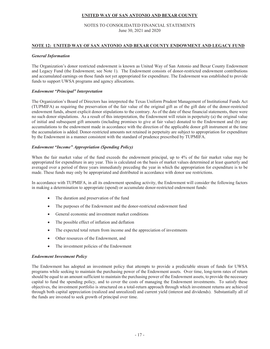#### NOTES TO CONSOLIDATED FINANCIAL STATEMENTS June 30, 2021 and 2020

#### **NOTE 12: UNITED WAY OF SAN ANTONIO AND BEXAR COUNTY ENDOWMENT AND LEGACY FUND**

#### *General Information*

The Organization's donor restricted endowment is known as United Way of San Antonio and Bexar County Endowment and Legacy Fund (the Endowment; see Note 1). The Endowment consists of donor-restricted endowment contributions and accumulated earnings on those funds not yet appropriated for expenditure. The Endowment was established to provide funds to support UWSA programs and agency allocations.

#### *Endowment "Principal" Interpretation*

The Organization's Board of Directors has interpreted the Texas Uniform Prudent Management of Institutional Funds Act (TUPMIFA) as requiring the preservation of the fair value of the original gift as of the gift date of the donor-restricted endowment funds, absent explicit donor stipulations to the contrary. As of the date of these financial statements, there were no such donor stipulations. As a result of this interpretation, the Endowment will retain in perpetuity (a) the original value of initial and subsequent gift amounts (including promises to give at fair value) donated to the Endowment and (b) any accumulations to the endowment made in accordance with the direction of the applicable donor gift instrument at the time the accumulation is added. Donor-restricted amounts not retained in perpetuity are subject to appropriation for expenditure by the Endowment in a manner consistent with the standard of prudence prescribed by TUPMIFA.

#### *Endowment "Income" Appropriation (Spending Policy)*

When the fair market value of the fund exceeds the endowment principal, up to 4% of the fair market value may be appropriated for expenditure in any year. This is calculated on the basis of market values determined at least quarterly and averaged over a period of three years immediately preceding the year in which the appropriation for expenditure is to be made. These funds may only be appropriated and distributed in accordance with donor use restrictions.

In accordance with TUPMIFA, in all its endowment spending activity, the Endowment will consider the following factors in making a determination to appropriate (spend) or accumulate donor-restricted endowment funds:

- The duration and preservation of the fund
- The purposes of the Endowment and the donor-restricted endowment fund
- General economic and investment market conditions
- The possible effect of inflation and deflation
- The expected total return from income and the appreciation of investments
- Other resources of the Endowment, and
- The investment policies of the Endowment

#### *Endowment Investment Policy*

The Endowment has adopted an investment policy that attempts to provide a predictable stream of funds for UWSA programs while seeking to maintain the purchasing power of the Endowment assets. Over time, long-term rates of return should be equal to an amount sufficient to maintain the purchasing power of the Endowment assets, to provide the necessary capital to fund the spending policy, and to cover the costs of managing the Endowment investments. To satisfy these objectives, the investment portfolio is structured on a total-return approach through which investment returns are achieved through both capital appreciation (realized and unrealized) and current yield (interest and dividends). Substantially all of the funds are invested to seek growth of principal over time.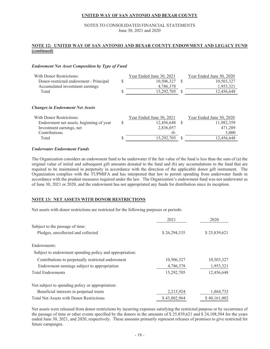#### NOTES TO CONSOLIDATED FINANCIAL STATEMENTS June 30, 2021 and 2020

#### **NOTE 12: UNITED WAY OF SAN ANTONIO AND BEXAR COUNTY ENDOWMENT AND LEGACY FUND (continued)**

#### *Endowment Net Asset Composition by Type of Fund*

| With Donor Restrictions:               | Year Ended June 30, 2021 | Year Ended June 30, 2020 |
|----------------------------------------|--------------------------|--------------------------|
| Donor-restricted endowment - Principal | 10.506.327 \$            | 10,503,327               |
| Accumulated investment earnings        | 4.786.378                | 1.953.321                |
| Total                                  | 15,292,705               | 12.456.648               |

#### *Changes in Endowment Net Assets*

| With Donor Restrictions:                | Year Ended June 30, 2021 | Year Ended June 30, 2020 |
|-----------------------------------------|--------------------------|--------------------------|
| Endowment net assets, beginning of year | 12,456,648               | 11,982,359               |
| Investment earnings, net                | 2,836,057                | 471,289                  |
| <b>Contributions</b>                    | $-()$                    | 3,000                    |
| Total                                   | 15,292,705               | 12.456,648               |
|                                         |                          |                          |

#### *Underwater Endowment Funds*

The Organization considers an endowment fund to be underwater if the fair value of the fund is less than the sum of (a) the original value of initial and subsequent gift amounts donated to the fund and (b) any accumulations to the fund that are required to be maintained in perpetuity in accordance with the direction of the applicable donor gift instrument. The Organization complies with the TUPMIFA and has interpreted that law to permit spending from underwater funds in accordance with the prudent measures required under the law. The Organization's endowment fund was not underwater as of June 30, 2021 or 2020, and the endowment has not appropriated any funds for distribution since its inception.

#### **NOTE 13: NET ASSETS WITH DONOR RESTRICTIONS**

Net assets with donor restrictions are restricted for the following purposes or periods:

|                                                         | 2021         | 2020         |
|---------------------------------------------------------|--------------|--------------|
| Subject to the passage of time:                         |              |              |
| Pledges, uncollected and collected                      | \$26,294,335 | \$25,839,621 |
| Endowments:                                             |              |              |
| Subject to endowment spending policy and appropriation: |              |              |
| Contributions to perpetually restricted endowment       | 10,506,327   | 10,503,327   |
| Endowment earnings subject to appropriation             | 4,786,378    | 1,953,321    |
| <b>Total Endowments</b>                                 | 15,292,705   | 12,456,648   |
| Not subject to spending policy or appropriation:        |              |              |
| Beneficial interests in perpetual trusts                | 2,215,924    | 1,864,733    |
| <b>Total Net Assets with Donor Restrictions</b>         | \$43,802,964 | \$40,161,002 |

Net assets were released from donor restrictions by incurring expenses satisfying the restricted purpose or by occurrence of the passage of time or other events specified by the donors in the amounts of \$ 25,839,621 and \$ 24,108,504 for the years ended June 30, 2021, and 2020, respectively. These amounts primarily represent releases of promises to give restricted for future campaigns.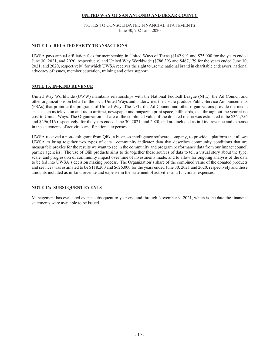#### NOTES TO CONSOLIDATED FINANCIAL STATEMENTS June 30, 2021 and 2020

#### **NOTE 14: RELATED PARTY TRANSACTIONS**

UWSA pays annual affiliation fees for membership in United Ways of Texas (\$142,991 and \$75,000 for the years ended June 30, 2021, and 2020, respectively) and United Way Worldwide (\$786,393 and \$467,179 for the years ended June 30, 2021, and 2020, respectively) for which UWSA receives the right to use the national brand in charitable endeavors, national advocacy of issues, member education, training and other support.

#### **NOTE 15: IN-KIND REVENUE**

United Way Worldwide (UWW) maintains relationships with the National Football League (NFL), the Ad Council and other organizations on behalf of the local United Ways and underwrites the cost to produce Public Service Announcements (PSAs) that promote the programs of United Way. The NFL, the Ad Council and other organizations provide the media space such as television and radio airtime, newspaper and magazine print space, billboards, etc. throughout the year at no cost to United Ways. The Organization's share of the combined value of the donated media was estimated to be \$364,756 and \$296,416 respectively, for the years ended June 30, 2021, and 2020, and are included as in-kind revenue and expense in the statements of activities and functional expenses.

UWSA received a non-cash grant from Qlik, a business intelligence software company, to provide a platform that allows UWSA to bring together two types of data—community indicator data that describes community conditions that are measurable proxies for the results we want to see in the community and program performance data from our impact council partner agencies. The use of Qlik products aims to tie together these sources of data to tell a visual story about the type, scale, and progression of community impact over time of investments made, and to allow for ongoing analysis of the data to be fed into UWSA's decision making process. The Organization's share of the combined value of the donated products and services was estimated to be \$118,200 and \$626,000 for the years ended June 30, 2021 and 2020, respectively and these amounts included as in-kind revenue and expense in the statement of activities and functional expenses.

#### **NOTE 16: SUBSEQUENT EVENTS**

Management has evaluated events subsequent to year end and through November 9, 2021, which is the date the financial statements were available to be issued.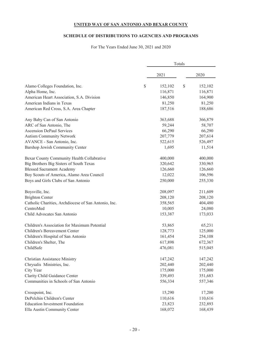# **SCHEDULE OF DISTRIBUTIONS TO AGENCIES AND PROGRAMS**

For The Years Ended June 30, 2021 and 2020

|                                                      |               | Totals |         |
|------------------------------------------------------|---------------|--------|---------|
|                                                      | 2021          |        | 2020    |
| Alamo Colleges Foundation, Inc.                      | \$<br>152,102 | $\$$   | 152,102 |
| Alpha Home, Inc.                                     | 116,871       |        | 116,871 |
| American Heart Association, S.A. Division            | 146,850       |        | 164,900 |
| American Indians in Texas                            | 81,250        |        | 81,250  |
| American Red Cross, S.A. Area Chapter                | 187,516       |        | 188,686 |
| Any Baby Can of San Antonio                          | 363,688       |        | 366,879 |
| ARC of San Antonio, The                              | 59,244        |        | 58,707  |
| <b>Ascension DePaul Services</b>                     | 66,290        |        | 66,290  |
| <b>Autism Community Network</b>                      | 207,779       |        | 207,614 |
| AVANCE - San Antonio, Inc.                           | 522,615       |        | 526,497 |
| Barshop Jewish Community Center                      | 1,695         |        | 11,514  |
| Bexar County Community Health Collabrative           | 400,000       |        | 400,000 |
| Big Brothers Big Sisters of South Texas              | 320,642       |        | 330,965 |
| <b>Blessed Sacrament Academy</b>                     | 126,660       |        | 126,660 |
| Boy Scouts of America, Alamo Area Council            | 12,022        |        | 106,596 |
| Boys and Girls Clubs of San Antonio                  | 250,000       |        | 255,330 |
| Boysville, Inc.                                      | 208,097       |        | 211,609 |
| <b>Brighton Center</b>                               | 208,120       |        | 208,120 |
| Catholic Charities, Archdiocese of San Antonio, Inc. | 358,565       |        | 404,480 |
| CentroMed                                            | 10,005        |        | 24,080  |
| Child Advocates San Antonio                          | 153,387       |        | 173,033 |
| Children's Association for Maximum Potential         | 53,865        |        | 65,231  |
| Children's Bereavement Center                        | 128,773       |        | 125,000 |
| Children's Hospital of San Antonio                   | 161,454       |        | 254,108 |
| Children's Shelter, The                              | 617,898       |        | 672,367 |
| ChildSafe                                            | 476,081       |        | 515,045 |
| <b>Christian Assistance Ministry</b>                 | 147,242       |        | 147,242 |
| Chrysalis Ministries, Inc.                           | 202,440       |        | 202,440 |
| City Year                                            | 175,000       |        | 175,000 |
| Clarity Child Guidance Center                        | 339,493       |        | 351,683 |
| Communities in Schools of San Antonio                | 556,334       |        | 557,346 |
| Crosspoint, Inc.                                     | 15,290        |        | 17,200  |
| DePelchin Children's Center                          | 110,616       |        | 110,616 |
| <b>Education Investment Foundation</b>               | 23,823        |        | 232,893 |
| Ella Austin Community Center                         | 168,072       |        | 168,439 |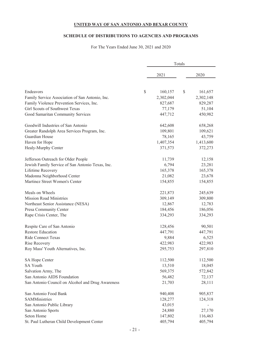# **SCHEDULE OF DISTRIBUTIONS TO AGENCIES AND PROGRAMS**

For The Years Ended June 30, 2021 and 2020

|                                                   | Totals        |    |           |  |  |
|---------------------------------------------------|---------------|----|-----------|--|--|
|                                                   | 2021          |    | 2020      |  |  |
|                                                   |               |    |           |  |  |
| Endeavors                                         | \$<br>160,157 | \$ | 161,657   |  |  |
| Family Service Association of San Antonio, Inc.   | 2,302,044     |    | 2,302,148 |  |  |
| Family Violence Prevention Services, Inc.         | 827,687       |    | 829,287   |  |  |
| Girl Scouts of Southwest Texas                    | 77,179        |    | 51,104    |  |  |
| Good Samaritan Community Services                 | 447,712       |    | 450,982   |  |  |
| Goodwill Industries of San Antonio                | 642,608       |    | 658,268   |  |  |
| Greater Randolph Area Services Program, Inc.      | 109,801       |    | 109,621   |  |  |
| Guardian House                                    | 78,165        |    | 43,759    |  |  |
| Haven for Hope                                    | 1,407,354     |    | 1,413,600 |  |  |
| Healy-Murphy Center                               | 371,573       |    | 372,273   |  |  |
| Jefferson Outreach for Older People               | 11,739        |    | 12,158    |  |  |
| Jewish Family Service of San Antonio Texas, Inc.  | 6,794         |    | 23,281    |  |  |
| Lifetime Recovery                                 | 165,378       |    | 165,378   |  |  |
| Madonna Neighborhood Center                       | 21,082        |    | 23,678    |  |  |
| Martinez Street Women's Center                    | 154,855       |    | 154,855   |  |  |
| Meals on Wheels                                   | 221,873       |    | 245,639   |  |  |
| <b>Mission Road Ministries</b>                    | 309,149       |    | 309,800   |  |  |
| Northeast Senior Assistance (NESA)                | 12,867        |    | 12,783    |  |  |
| Presa Community Center                            | 184,456       |    | 186,056   |  |  |
| Rape Crisis Center, The                           | 334,293       |    | 334,293   |  |  |
| Respite Care of San Antonio                       | 128,456       |    | 90,501    |  |  |
| <b>Restore Education</b>                          | 447,791       |    | 447,791   |  |  |
| <b>Ride Connect Texas</b>                         | 9,884         |    | 6,525     |  |  |
| Rise Recovery                                     | 422,983       |    | 422,983   |  |  |
| Roy Mass' Youth Alternatives, Inc.                | 295,753       |    | 297,810   |  |  |
| SA Hope Center                                    | 112,500       |    | 112,500   |  |  |
| <b>SA Youth</b>                                   | 13,510        |    | 18,045    |  |  |
| Salvation Army, The                               | 569,375       |    | 572,842   |  |  |
| San Antonio AIDS Foundation                       | 56,482        |    | 72,137    |  |  |
| San Antonio Council on Alcohol and Drug Awareness | 21,703        |    | 28,111    |  |  |
| San Antonio Food Bank                             | 940,408       |    | 905,837   |  |  |
| SAMMinistries                                     | 128,277       |    | 124,318   |  |  |
| San Antonio Public Library                        | 43,015        |    |           |  |  |
| San Antonio Sports                                | 24,880        |    | 27,170    |  |  |
| Seton Home                                        | 147,802       |    | 116,463   |  |  |
| St. Paul Lutheran Child Development Center        | 405,794       |    | 405,794   |  |  |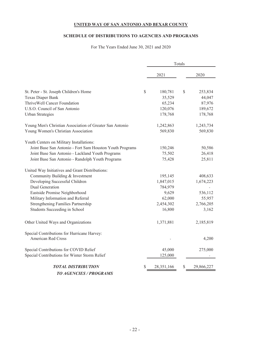# **SCHEDULE OF DISTRIBUTIONS TO AGENCIES AND PROGRAMS**

For The Years Ended June 30, 2021 and 2020

|                                                          |    |            | Totals |            |
|----------------------------------------------------------|----|------------|--------|------------|
|                                                          |    | 2021       |        | 2020       |
| St. Peter - St. Joseph Children's Home                   | \$ | 180,781    | \$     | 253,834    |
| Texas Diaper Bank                                        |    | 35,529     |        | 44,047     |
| ThriveWell Cancer Foundation                             |    | 65,234     |        | 87,976     |
| U.S.O. Council of San Antonio                            |    | 120,076    |        | 189,672    |
| <b>Urban Strategies</b>                                  |    | 178,768    |        | 178,768    |
| Young Men's Christian Association of Greater San Antonio |    | 1,242,863  |        | 1,243,734  |
| Young Women's Christian Association                      |    | 569,830    |        | 569,830    |
| Youth Centers on Military Installations:                 |    |            |        |            |
| Joint Base San Antonio - Fort Sam Houston Youth Programs |    | 150,246    |        | 50,586     |
| Joint Base San Antonio - Lackland Youth Programs         |    | 75,502     |        | 26,418     |
| Joint Base San Antonio - Randolph Youth Programs         |    | 75,428     |        | 25,811     |
| United Way Initiatives and Grant Distributions:          |    |            |        |            |
| Community Building & Investment                          |    | 195,145    |        | 408,633    |
| Developing Successful Children                           |    | 1,847,015  |        | 1,674,223  |
| Dual Generation                                          |    | 784,979    |        |            |
| Eastside Promise Neighborhood                            |    | 9,629      |        | 536,112    |
| Military Information and Referral                        |    | 62,000     |        | 55,957     |
| Strengthening Families Partnership                       |    | 2,454,302  |        | 2,766,205  |
| Students Succeeding in School                            |    | 16,800     |        | 3,162      |
| Other United Ways and Organizations                      |    | 1,371,881  |        | 2,185,819  |
| Special Contributions for Hurricane Harvey:              |    |            |        |            |
| American Red Cross                                       |    |            |        | 4,200      |
| Special Contributions for COVID Relief                   |    | 45,000     |        | 275,000    |
| Special Contributions for Winter Storm Relief            |    | 125,000    |        |            |
| <b>TOTAL DISTRIBUTION</b>                                | S  | 28,351,166 | \$     | 29,866,227 |
| <b>TO AGENCIES / PROGRAMS</b>                            |    |            |        |            |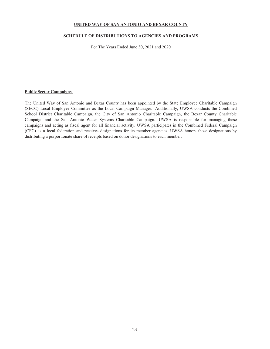#### **SCHEDULE OF DISTRIBUTIONS TO AGENCIES AND PROGRAMS**

For The Years Ended June 30, 2021 and 2020

#### **Public Sector Campaigns**

The United Way of San Antonio and Bexar County has been appointed by the State Employee Charitable Campaign (SECC) Local Employee Committee as the Local Campaign Manager. Additionally, UWSA conducts the Combined School District Charitable Campaign, the City of San Antonio Charitable Campaign, the Bexar County Charitable Campaign and the San Antonio Water Systems Charitable Campaign. UWSA is responsible for managing these campaigns and acting as fiscal agent for all financial activity. UWSA participates in the Combined Federal Campaign (CFC) as a local federation and receives designations for its member agencies. UWSA honors those designations by distributing a porportionate share of receipts based on donor designations to each member.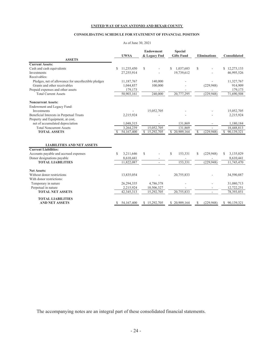#### **CONSOLIDATING SCHEDULE FOR STATEMENT OF FINANCIAL POSITION**

#### As of June 30, 2021

|                                                     | <b>UWSA</b>      | <b>Endowment</b><br>& Legacy Fnd | <b>Special</b><br><b>Gifts Fund</b> | <b>Eliminations</b>         | Consolidated     |
|-----------------------------------------------------|------------------|----------------------------------|-------------------------------------|-----------------------------|------------------|
| <b>ASSETS</b>                                       |                  |                                  |                                     |                             |                  |
| <b>Current Assets:</b>                              |                  |                                  |                                     |                             |                  |
| Cash and cash equivalents                           | \$<br>11,235,450 | $\mathcal{S}$                    | 1,037,683                           | \$                          | \$12,273,133     |
| Investments                                         | 27,255,914       |                                  | 19,739,612                          |                             | 46,995,526       |
| Receivables:                                        |                  |                                  |                                     |                             |                  |
| Pledges, net of allowance for uncollectible pledges | 11,187,767       | 140,000                          |                                     |                             | 11,327,767       |
| Grants and other receivables                        | 1,044,857        | 100,000                          |                                     | (229, 948)                  | 914,909          |
| Prepaid expenses and other assets                   | 179,173          |                                  |                                     |                             | 179,173          |
| <b>Total Current Assets</b>                         | 50,903,161       | 240,000                          | 20,777,295                          | (229, 948)                  | 71,690,508       |
| <b>Noncurrent Assets:</b>                           |                  |                                  |                                     |                             |                  |
| Endowment and Legacy Fund:                          |                  |                                  |                                     |                             |                  |
| Investments                                         |                  | 15,052,705                       |                                     |                             | 15,052,705       |
| Beneficial Interests in Perpetual Trusts            | 2,215,924        |                                  |                                     |                             | 2,215,924        |
| Property and Equipment, at cost,                    |                  |                                  |                                     |                             |                  |
| net of accumulated depreciation                     | 1,048,315        | $\overline{\phantom{a}}$         | 131,869                             |                             | 1,180,184        |
| <b>Total Noncurrent Assets</b>                      | 3,264,239        | 15,052,705                       | 131,869                             |                             | 18,448,813       |
| <b>TOTAL ASSETS</b>                                 | 54,167,400       | \$15,292,705                     | \$20,909,164                        | \$<br>(229,948)             | S.<br>90,139,321 |
|                                                     |                  |                                  |                                     |                             |                  |
| <b>LIABILITIES AND NET ASSETS</b>                   |                  |                                  |                                     |                             |                  |
| <b>Current Liabilities:</b>                         |                  |                                  |                                     |                             |                  |
| Accounts payable and accrued expenses               | \$<br>3,211,646  | \$                               | S<br>153,331                        | \$<br>(229,948)             | 3,135,029<br>S   |
| Donor designations payable                          | 8,610,441        |                                  |                                     |                             | 8,610,441        |
| <b>TOTAL LIABILITIES</b>                            | 11,822,087       | ٠                                | 153,331                             | (229,948)                   | 11,745,470       |
| <b>Net Assets:</b>                                  |                  |                                  |                                     |                             |                  |
| Without donor restrictions                          | 13,835,054       |                                  | 20,755,833                          |                             | 34,590,887       |
| With donor restrictions:                            |                  |                                  |                                     |                             |                  |
| Temporary in nature                                 | 26,294,335       | 4,786,378                        |                                     |                             | 31,080,713       |
| Perpetual in nature                                 | 2,215,924        | 10,506,327                       |                                     |                             | 12,722,251       |
| <b>TOTAL NET ASSETS</b>                             | 42, 345, 313     | 15,292,705                       | 20.755.833                          |                             | 78,393,851       |
| <b>TOTAL LIABILITIES</b>                            |                  |                                  |                                     |                             |                  |
| <b>AND NET ASSETS</b>                               | 54,167,400       | \$15,292,705                     | \$20,909,164                        | (229, 948)<br><sup>\$</sup> | \$90,139,321     |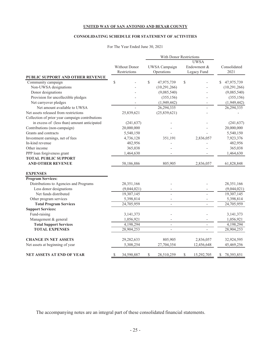# **CONSOLIDATING SCHEDULE FOR STATEMENT OF ACTIVITIES**

#### For The Year Ended June 30, 2021

|                                                 |                  |    | With Donor Restrictions  |              |                          |                  |
|-------------------------------------------------|------------------|----|--------------------------|--------------|--------------------------|------------------|
|                                                 |                  |    | <b>UWSA</b>              |              |                          |                  |
|                                                 | Without Donor    |    | UWSA Campaign            |              | Endowment &              | Consolidated     |
|                                                 | Restrictions     |    | Operations               |              | Legacy Fund              | 2021             |
| PUBLIC SUPPORT AND OTHER REVENUE                |                  |    |                          |              |                          |                  |
| Community campaign                              | \$               | \$ | 47,975,739               | $\mathbb{S}$ |                          | 47,975,739<br>\$ |
| Non-UWSA designations                           |                  |    | (10, 291, 266)           |              |                          | (10, 291, 266)   |
| Donor designations                              |                  |    | (9,085,540)              |              |                          | (9,085,540)      |
| Provision for uncollectible pledges             |                  |    | (355, 156)               |              |                          | (355, 156)       |
| Net carryover pledges                           |                  |    | (1,949,442)              |              |                          | (1,949,442)      |
| Net amount available to UWSA                    |                  |    | 26,294,335               |              |                          | 26,294,335       |
| Net assets released from restrictions           | 25,839,621       |    | (25,839,621)             |              |                          |                  |
| Collection of prior year campaign contributions |                  |    |                          |              |                          |                  |
| in excess of (less than) amount anticipated     | (241, 637)       |    |                          |              |                          | (241, 637)       |
| Contributions (non-campaign)                    | 20,000,000       |    |                          |              |                          | 20,000,000       |
| Grants and contracts                            | 5,540,150        |    |                          |              |                          | 5,540,150        |
| Investment earnings, net of fees                | 4,736,128        |    | 351.191                  |              | 2,836,057                | 7,923,376        |
| In-kind revenue                                 | 482,956          |    |                          |              |                          | 482,956          |
| Other income                                    | 365,038          |    |                          |              |                          | 365,038          |
| PPP loan forgiveness grant                      | 1,464,630        |    |                          |              |                          | 1,464,630        |
| <b>TOTAL PUBLIC SUPPORT</b>                     |                  |    |                          |              |                          |                  |
| <b>AND OTHER REVENUE</b>                        | 58,186,886       |    | 805,905                  |              | 2,836,057                | 61,828,848       |
| <b>EXPENSES</b>                                 |                  |    |                          |              |                          |                  |
| <b>Program Services:</b>                        |                  |    |                          |              |                          |                  |
| Distributions to Agencies and Programs          | 28,351,166       |    |                          |              |                          | 28,351,166       |
| Less donor designations                         | (9,044,021)      |    |                          |              |                          | (9,044,021)      |
| Net funds distributed                           | 19,307,145       |    | $\overline{a}$           |              |                          | 19,307,145       |
| Other program services                          | 5,398,814        |    |                          |              |                          | 5,398,814        |
| <b>Total Program Services</b>                   | 24,705,959       |    | $\overline{\phantom{a}}$ |              | $\frac{1}{2}$            | 24,705,959       |
| <b>Support Services:</b>                        |                  |    |                          |              |                          |                  |
| Fund-raising                                    | 3,141,373        |    |                          |              |                          | 3, 141, 373      |
| Management & general                            | 1,056,921        |    |                          |              |                          | 1,056,921        |
| <b>Total Support Services</b>                   | 4,198,294        |    | $\overline{\phantom{a}}$ |              | $\overline{\phantom{a}}$ | 4,198,294        |
| <b>TOTAL EXPENSES</b>                           | 28,904,253       |    | $\overline{a}$           |              |                          | 28,904,253       |
| <b>CHANGE IN NET ASSETS</b>                     | 29,282,633       |    | 805,905                  |              | 2,836,057                | 32,924,595       |
| Net assets at beginning of year                 | 5,308,254        |    | 27,704,354               |              | 12,456,648               | 45,469,256       |
| <b>NET ASSETS AT END OF YEAR</b>                | \$<br>34,590,887 | \$ | 28,510,259               | \$           | 15,292,705               | 78,393,851<br>\$ |